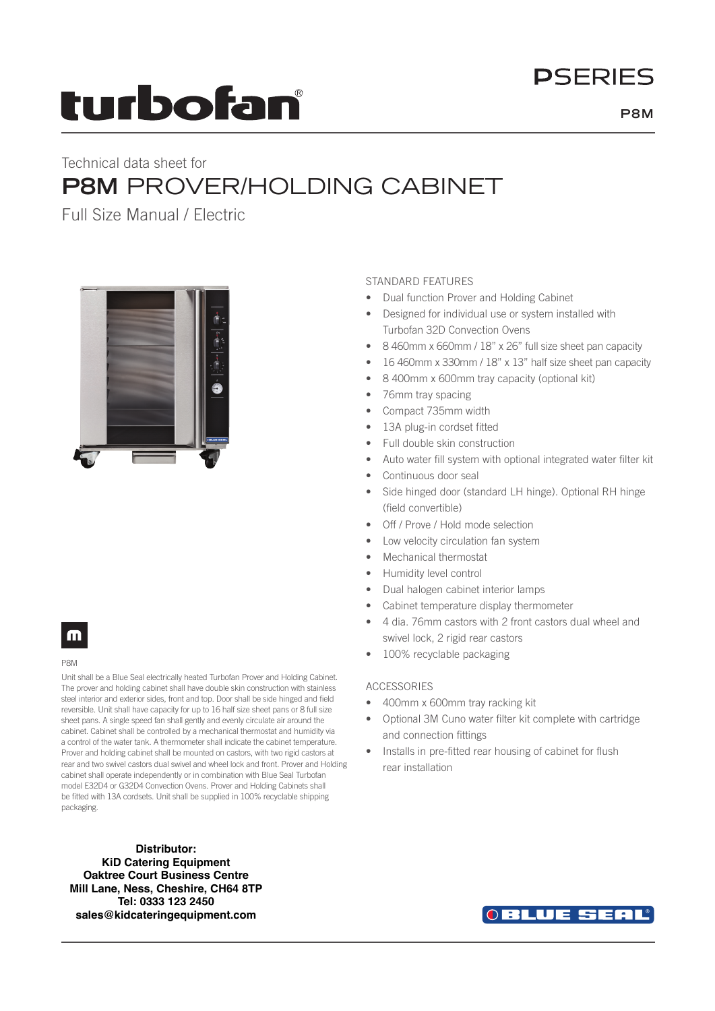# **DSFRIFS**

# turbofan

## Technical data sheet for **P8M** PROVER/HOLDING CABINET

Full Size Manual / Electric



### STANDARD FEATURES

- Dual function Prover and Holding Cabinet
- Designed for individual use or system installed with Turbofan 32D Convection Ovens
- 8 460mm x 660mm / 18" x 26" full size sheet pan capacity
- 16 460mm x 330mm / 18" x 13" half size sheet pan capacity
- 8 400mm x 600mm tray capacity (optional kit)
- 76mm tray spacing
- Compact 735mm width
- 13A plug-in cordset fitted
- Full double skin construction
- Auto water fill system with optional integrated water filter kit
- Continuous door seal
- Side hinged door (standard LH hinge). Optional RH hinge (field convertible)
- Off / Prove / Hold mode selection
- Low velocity circulation fan system
- Mechanical thermostat
- Humidity level control
- Dual halogen cabinet interior lamps
- Cabinet temperature display thermometer
- 4 dia. 76mm castors with 2 front castors dual wheel and swivel lock, 2 rigid rear castors
- 100% recyclable packaging

#### ACCESSORIES

- 400mm x 600mm tray racking kit
- Optional 3M Cuno water filter kit complete with cartridge and connection fittings
- Installs in pre-fitted rear housing of cabinet for flush rear installation

## m

#### P8M

Unit shall be a Blue Seal electrically heated Turbofan Prover and Holding Cabinet. The prover and holding cabinet shall have double skin construction with stainless steel interior and exterior sides, front and top. Door shall be side hinged and field reversible. Unit shall have capacity for up to 16 half size sheet pans or 8 full size sheet pans. A single speed fan shall gently and evenly circulate air around the cabinet. Cabinet shall be controlled by a mechanical thermostat and humidity via a control of the water tank. A thermometer shall indicate the cabinet temperature. Prover and holding cabinet shall be mounted on castors, with two rigid castors at rear and two swivel castors dual swivel and wheel lock and front. Prover and Holding cabinet shall operate independently or in combination with Blue Seal Turbofan model E32D4 or G32D4 Convection Ovens. Prover and Holding Cabinets shall be fitted with 13A cordsets. Unit shall be supplied in 100% recyclable shipping packaging.

**Distributor: KiD Catering Equipment Oaktree Court Business Centre Mill Lane, Ness, Cheshire, CH64 8TP Tel: 0333 123 2450 sales@kidcateringequipment.com**